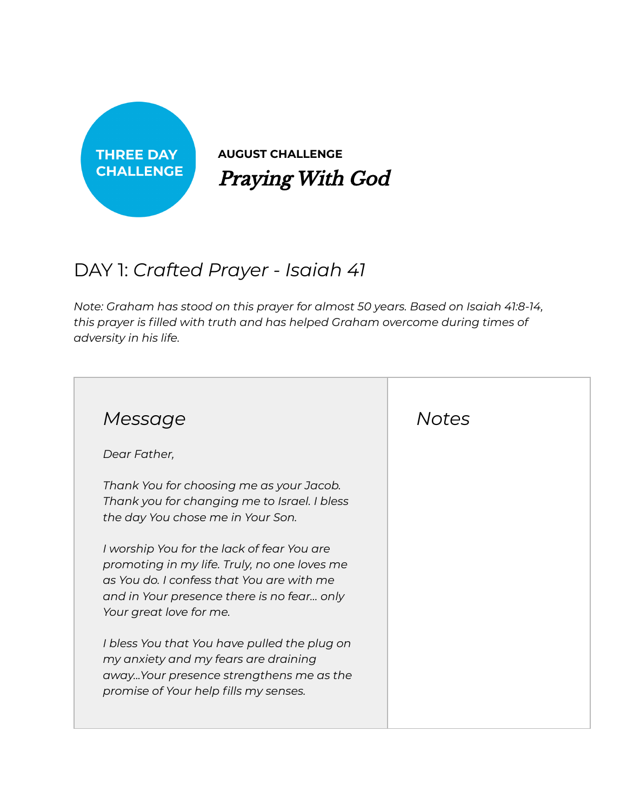

**AUGUST CHALLENGE** Praying With God

## DAY 1: *Crafted Prayer - Isaiah 41*

*Note: Graham has stood on this prayer for almost 50 years. Based on Isaiah 41:8-14, this prayer is filled with truth and has helped Graham overcome during times of adversity in his life.*